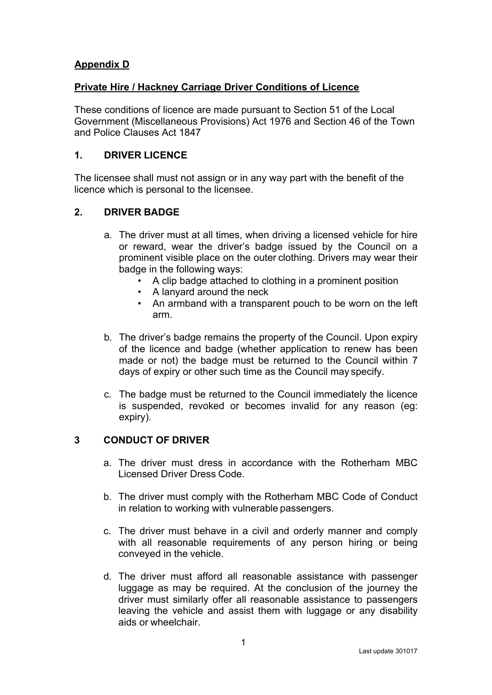# **Appendix D**

## **Private Hire / Hackney Carriage Driver Conditions of Licence**

These conditions of licence are made pursuant to Section 51 of the Local Government (Miscellaneous Provisions) Act 1976 and Section 46 of the Town and Police Clauses Act 1847

## **1. DRIVER LICENCE**

The licensee shall must not assign or in any way part with the benefit of the licence which is personal to the licensee.

# **2. DRIVER BADGE**

- a. The driver must at all times, when driving a licensed vehicle for hire or reward, wear the driver's badge issued by the Council on a prominent visible place on the outer clothing. Drivers may wear their badge in the following ways:
	- A clip badge attached to clothing in a prominent position
	- A lanyard around the neck
	- An armband with a transparent pouch to be worn on the left arm.
- b. The driver's badge remains the property of the Council. Upon expiry of the licence and badge (whether application to renew has been made or not) the badge must be returned to the Council within 7 days of expiry or other such time as the Council may specify.
- c. The badge must be returned to the Council immediately the licence is suspended, revoked or becomes invalid for any reason (eg: expiry).

# **3 CONDUCT OF DRIVER**

- a. The driver must dress in accordance with the Rotherham MBC Licensed Driver Dress Code.
- b. The driver must comply with the Rotherham MBC Code of Conduct in relation to working with vulnerable passengers.
- c. The driver must behave in a civil and orderly manner and comply with all reasonable requirements of any person hiring or being conveyed in the vehicle.
- d. The driver must afford all reasonable assistance with passenger luggage as may be required. At the conclusion of the journey the driver must similarly offer all reasonable assistance to passengers leaving the vehicle and assist them with luggage or any disability aids or wheelchair.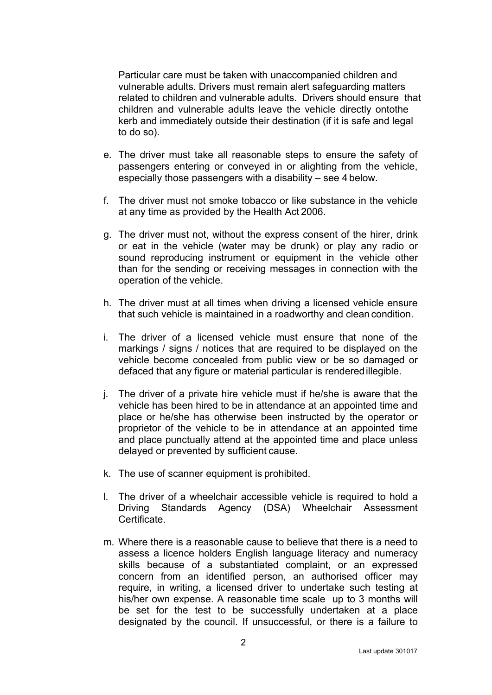Particular care must be taken with unaccompanied children and vulnerable adults. Drivers must remain alert safeguarding matters related to children and vulnerable adults. Drivers should ensure that children and vulnerable adults leave the vehicle directly ontothe kerb and immediately outside their destination (if it is safe and legal to do so).

- e. The driver must take all reasonable steps to ensure the safety of passengers entering or conveyed in or alighting from the vehicle, especially those passengers with a disability – see 4 below.
- f. The driver must not smoke tobacco or like substance in the vehicle at any time as provided by the Health Act 2006.
- g. The driver must not, without the express consent of the hirer, drink or eat in the vehicle (water may be drunk) or play any radio or sound reproducing instrument or equipment in the vehicle other than for the sending or receiving messages in connection with the operation of the vehicle.
- h. The driver must at all times when driving a licensed vehicle ensure that such vehicle is maintained in a roadworthy and clean condition.
- i. The driver of a licensed vehicle must ensure that none of the markings / signs / notices that are required to be displayed on the vehicle become concealed from public view or be so damaged or defaced that any figure or material particular is renderedillegible.
- j. The driver of a private hire vehicle must if he/she is aware that the vehicle has been hired to be in attendance at an appointed time and place or he/she has otherwise been instructed by the operator or proprietor of the vehicle to be in attendance at an appointed time and place punctually attend at the appointed time and place unless delayed or prevented by sufficient cause.
- k. The use of scanner equipment is prohibited.
- l. The driver of a wheelchair accessible vehicle is required to hold a Driving Standards Agency (DSA) Wheelchair Assessment Certificate.
- m. Where there is a reasonable cause to believe that there is a need to assess a licence holders English language literacy and numeracy skills because of a substantiated complaint, or an expressed concern from an identified person, an authorised officer may require, in writing, a licensed driver to undertake such testing at his/her own expense. A reasonable time scale up to 3 months will be set for the test to be successfully undertaken at a place designated by the council. If unsuccessful, or there is a failure to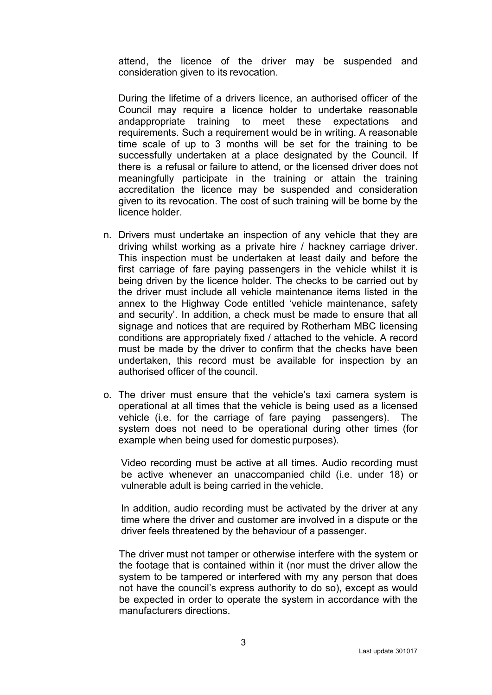attend, the licence of the driver may be suspended and consideration given to its revocation.

During the lifetime of a drivers licence, an authorised officer of the Council may require a licence holder to undertake reasonable andappropriate training to meet these expectations and requirements. Such a requirement would be in writing. A reasonable time scale of up to 3 months will be set for the training to be successfully undertaken at a place designated by the Council. If there is a refusal or failure to attend, or the licensed driver does not meaningfully participate in the training or attain the training accreditation the licence may be suspended and consideration given to its revocation. The cost of such training will be borne by the licence holder.

- n. Drivers must undertake an inspection of any vehicle that they are driving whilst working as a private hire / hackney carriage driver. This inspection must be undertaken at least daily and before the first carriage of fare paying passengers in the vehicle whilst it is being driven by the licence holder. The checks to be carried out by the driver must include all vehicle maintenance items listed in the annex to the Highway Code entitled 'vehicle maintenance, safety and security'. In addition, a check must be made to ensure that all signage and notices that are required by Rotherham MBC licensing conditions are appropriately fixed / attached to the vehicle. A record must be made by the driver to confirm that the checks have been undertaken, this record must be available for inspection by an authorised officer of the council.
- o. The driver must ensure that the vehicle's taxi camera system is operational at all times that the vehicle is being used as a licensed vehicle (i.e. for the carriage of fare paying passengers). The system does not need to be operational during other times (for example when being used for domestic purposes).

Video recording must be active at all times. Audio recording must be active whenever an unaccompanied child (i.e. under 18) or vulnerable adult is being carried in the vehicle.

In addition, audio recording must be activated by the driver at any time where the driver and customer are involved in a dispute or the driver feels threatened by the behaviour of a passenger.

The driver must not tamper or otherwise interfere with the system or the footage that is contained within it (nor must the driver allow the system to be tampered or interfered with my any person that does not have the council's express authority to do so), except as would be expected in order to operate the system in accordance with the manufacturers directions.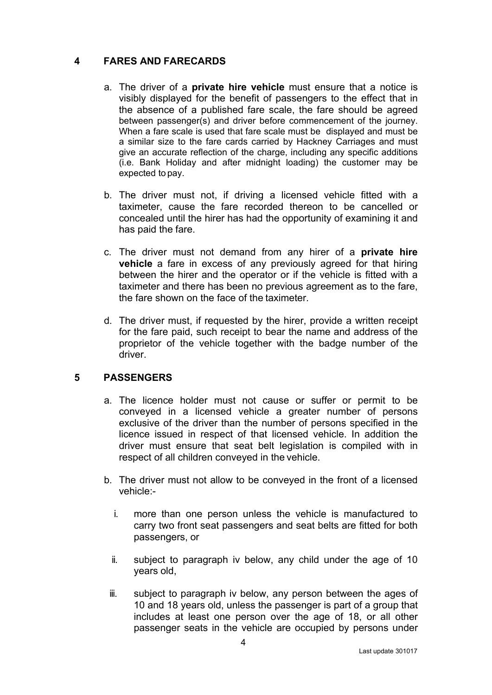# **4 FARES AND FARECARDS**

- a. The driver of a **private hire vehicle** must ensure that a notice is visibly displayed for the benefit of passengers to the effect that in the absence of a published fare scale, the fare should be agreed between passenger(s) and driver before commencement of the journey. When a fare scale is used that fare scale must be displayed and must be a similar size to the fare cards carried by Hackney Carriages and must give an accurate reflection of the charge, including any specific additions (i.e. Bank Holiday and after midnight loading) the customer may be expected to pay.
- b. The driver must not, if driving a licensed vehicle fitted with a taximeter, cause the fare recorded thereon to be cancelled or concealed until the hirer has had the opportunity of examining it and has paid the fare.
- c. The driver must not demand from any hirer of a **private hire vehicle** a fare in excess of any previously agreed for that hiring between the hirer and the operator or if the vehicle is fitted with a taximeter and there has been no previous agreement as to the fare, the fare shown on the face of the taximeter.
- d. The driver must, if requested by the hirer, provide a written receipt for the fare paid, such receipt to bear the name and address of the proprietor of the vehicle together with the badge number of the driver.

# **5 PASSENGERS**

- a. The licence holder must not cause or suffer or permit to be conveyed in a licensed vehicle a greater number of persons exclusive of the driver than the number of persons specified in the licence issued in respect of that licensed vehicle. In addition the driver must ensure that seat belt legislation is compiled with in respect of all children conveyed in the vehicle.
- b. The driver must not allow to be conveyed in the front of a licensed vehicle:
	- i. more than one person unless the vehicle is manufactured to carry two front seat passengers and seat belts are fitted for both passengers, or
	- ii. subject to paragraph iv below, any child under the age of 10 years old,
	- iii. subject to paragraph iv below, any person between the ages of 10 and 18 years old, unless the passenger is part of a group that includes at least one person over the age of 18, or all other passenger seats in the vehicle are occupied by persons under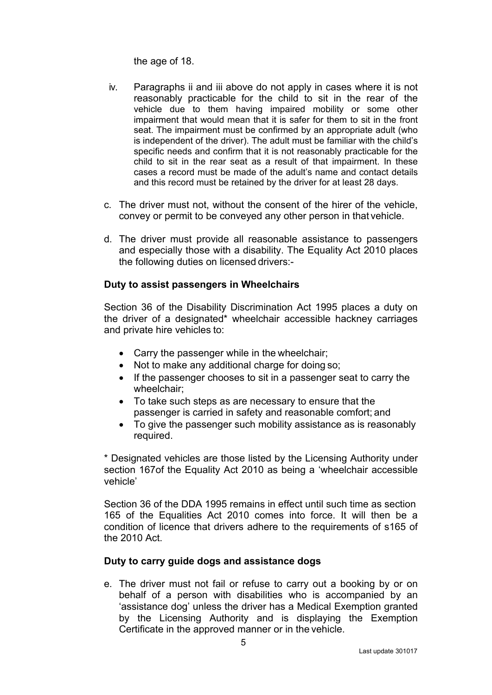the age of 18.

- iv. Paragraphs ii and iii above do not apply in cases where it is not reasonably practicable for the child to sit in the rear of the vehicle due to them having impaired mobility or some other impairment that would mean that it is safer for them to sit in the front seat. The impairment must be confirmed by an appropriate adult (who is independent of the driver). The adult must be familiar with the child's specific needs and confirm that it is not reasonably practicable for the child to sit in the rear seat as a result of that impairment. In these cases a record must be made of the adult's name and contact details and this record must be retained by the driver for at least 28 days.
- c. The driver must not, without the consent of the hirer of the vehicle, convey or permit to be conveyed any other person in that vehicle.
- d. The driver must provide all reasonable assistance to passengers and especially those with a disability. The Equality Act 2010 places the following duties on licensed drivers:-

### **Duty to assist passengers in Wheelchairs**

Section 36 of the Disability Discrimination Act 1995 places a duty on the driver of a designated\* wheelchair accessible hackney carriages and private hire vehicles to:

- Carry the passenger while in the wheelchair;
- Not to make any additional charge for doing so;
- If the passenger chooses to sit in a passenger seat to carry the wheelchair;
- To take such steps as are necessary to ensure that the passenger is carried in safety and reasonable comfort; and
- To give the passenger such mobility assistance as is reasonably required.

\* Designated vehicles are those listed by the Licensing Authority under section 167of the Equality Act 2010 as being a 'wheelchair accessible vehicle'

Section 36 of the DDA 1995 remains in effect until such time as section 165 of the Equalities Act 2010 comes into force. It will then be a condition of licence that drivers adhere to the requirements of s165 of the 2010 Act.

### **Duty to carry guide dogs and assistance dogs**

e. The driver must not fail or refuse to carry out a booking by or on behalf of a person with disabilities who is accompanied by an 'assistance dog' unless the driver has a Medical Exemption granted by the Licensing Authority and is displaying the Exemption Certificate in the approved manner or in the vehicle.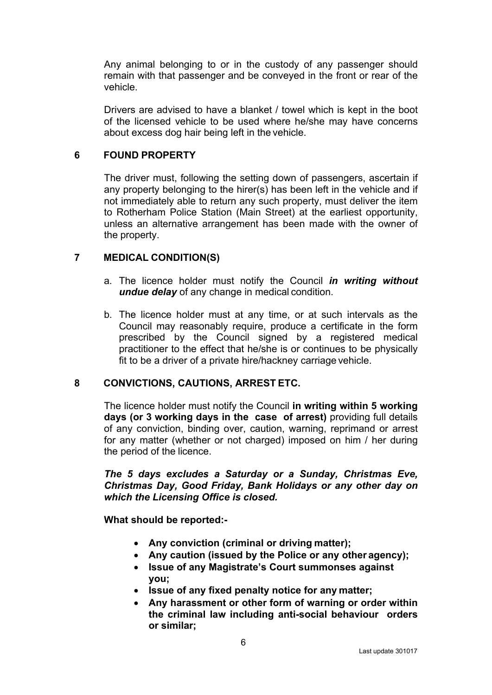Any animal belonging to or in the custody of any passenger should remain with that passenger and be conveyed in the front or rear of the vehicle.

Drivers are advised to have a blanket / towel which is kept in the boot of the licensed vehicle to be used where he/she may have concerns about excess dog hair being left in the vehicle.

## **6 FOUND PROPERTY**

The driver must, following the setting down of passengers, ascertain if any property belonging to the hirer(s) has been left in the vehicle and if not immediately able to return any such property, must deliver the item to Rotherham Police Station (Main Street) at the earliest opportunity, unless an alternative arrangement has been made with the owner of the property.

## **7 MEDICAL CONDITION(S)**

- a. The licence holder must notify the Council *in writing without undue delay* of any change in medical condition.
- b. The licence holder must at any time, or at such intervals as the Council may reasonably require, produce a certificate in the form prescribed by the Council signed by a registered medical practitioner to the effect that he/she is or continues to be physically fit to be a driver of a private hire/hackney carriage vehicle.

### **8 CONVICTIONS, CAUTIONS, ARREST ETC.**

The licence holder must notify the Council **in writing within 5 working days (or 3 working days in the case of arrest)** providing full details of any conviction, binding over, caution, warning, reprimand or arrest for any matter (whether or not charged) imposed on him / her during the period of the licence.

*The 5 days excludes a Saturday or a Sunday, Christmas Eve, Christmas Day, Good Friday, Bank Holidays or any other day on which the Licensing Office is closed.*

**What should be reported:-**

- **Any conviction (criminal or driving matter);**
- **Any caution (issued by the Police or any other agency);**
- **Issue of any Magistrate's Court summonses against you;**
- **Issue of any fixed penalty notice for any matter;**
- **Any harassment or other form of warning or order within the criminal law including anti-social behaviour orders or similar;**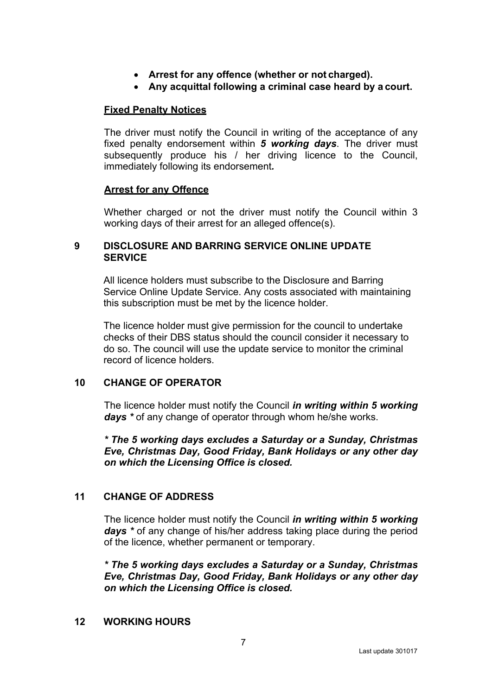- **Arrest for any offence (whether or not charged).**
- **Any acquittal following a criminal case heard by a court.**

### **Fixed Penalty Notices**

The driver must notify the Council in writing of the acceptance of any fixed penalty endorsement within *5 working days*. The driver must subsequently produce his / her driving licence to the Council, immediately following its endorsement*.*

### **Arrest for any Offence**

Whether charged or not the driver must notify the Council within 3 working days of their arrest for an alleged offence(s).

### **9 DISCLOSURE AND BARRING SERVICE ONLINE UPDATE SERVICE**

All licence holders must subscribe to the Disclosure and Barring Service Online Update Service. Any costs associated with maintaining this subscription must be met by the licence holder.

The licence holder must give permission for the council to undertake checks of their DBS status should the council consider it necessary to do so. The council will use the update service to monitor the criminal record of licence holders.

### **10 CHANGE OF OPERATOR**

The licence holder must notify the Council *in writing within 5 working days \** of any change of operator through whom he/she works.

*\* The 5 working days excludes a Saturday or a Sunday, Christmas Eve, Christmas Day, Good Friday, Bank Holidays or any other day on which the Licensing Office is closed.*

# **11 CHANGE OF ADDRESS**

The licence holder must notify the Council *in writing within 5 working days \** of any change of his/her address taking place during the period of the licence, whether permanent or temporary.

*\* The 5 working days excludes a Saturday or a Sunday, Christmas Eve, Christmas Day, Good Friday, Bank Holidays or any other day on which the Licensing Office is closed.*

### **12 WORKING HOURS**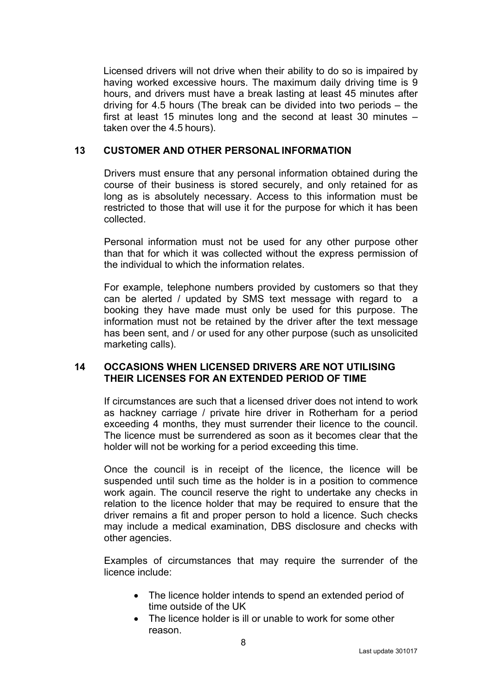Licensed drivers will not drive when their ability to do so is impaired by having worked excessive hours. The maximum daily driving time is 9 hours, and drivers must have a break lasting at least 45 minutes after driving for 4.5 hours (The break can be divided into two periods – the first at least 15 minutes long and the second at least 30 minutes – taken over the 4.5 hours).

#### **13 CUSTOMER AND OTHER PERSONAL INFORMATION**

Drivers must ensure that any personal information obtained during the course of their business is stored securely, and only retained for as long as is absolutely necessary. Access to this information must be restricted to those that will use it for the purpose for which it has been collected.

Personal information must not be used for any other purpose other than that for which it was collected without the express permission of the individual to which the information relates.

For example, telephone numbers provided by customers so that they can be alerted / updated by SMS text message with regard to a booking they have made must only be used for this purpose. The information must not be retained by the driver after the text message has been sent, and / or used for any other purpose (such as unsolicited marketing calls).

#### **14 OCCASIONS WHEN LICENSED DRIVERS ARE NOT UTILISING THEIR LICENSES FOR AN EXTENDED PERIOD OF TIME**

If circumstances are such that a licensed driver does not intend to work as hackney carriage / private hire driver in Rotherham for a period exceeding 4 months, they must surrender their licence to the council. The licence must be surrendered as soon as it becomes clear that the holder will not be working for a period exceeding this time.

Once the council is in receipt of the licence, the licence will be suspended until such time as the holder is in a position to commence work again. The council reserve the right to undertake any checks in relation to the licence holder that may be required to ensure that the driver remains a fit and proper person to hold a licence. Such checks may include a medical examination, DBS disclosure and checks with other agencies.

Examples of circumstances that may require the surrender of the licence include:

- The licence holder intends to spend an extended period of time outside of the UK
- The licence holder is ill or unable to work for some other reason.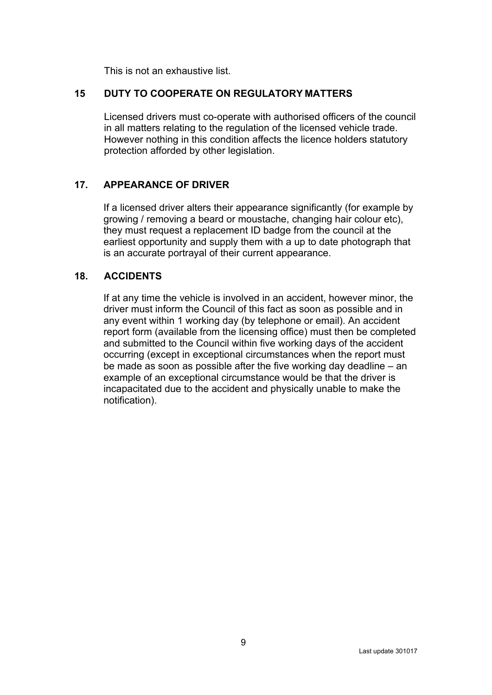This is not an exhaustive list.

### **15 DUTY TO COOPERATE ON REGULATORY MATTERS**

Licensed drivers must co-operate with authorised officers of the council in all matters relating to the regulation of the licensed vehicle trade. However nothing in this condition affects the licence holders statutory protection afforded by other legislation.

# **17. APPEARANCE OF DRIVER**

If a licensed driver alters their appearance significantly (for example by growing / removing a beard or moustache, changing hair colour etc), they must request a replacement ID badge from the council at the earliest opportunity and supply them with a up to date photograph that is an accurate portrayal of their current appearance.

## **18. ACCIDENTS**

If at any time the vehicle is involved in an accident, however minor, the driver must inform the Council of this fact as soon as possible and in any event within 1 working day (by telephone or email). An accident report form (available from the licensing office) must then be completed and submitted to the Council within five working days of the accident occurring (except in exceptional circumstances when the report must be made as soon as possible after the five working day deadline – an example of an exceptional circumstance would be that the driver is incapacitated due to the accident and physically unable to make the notification).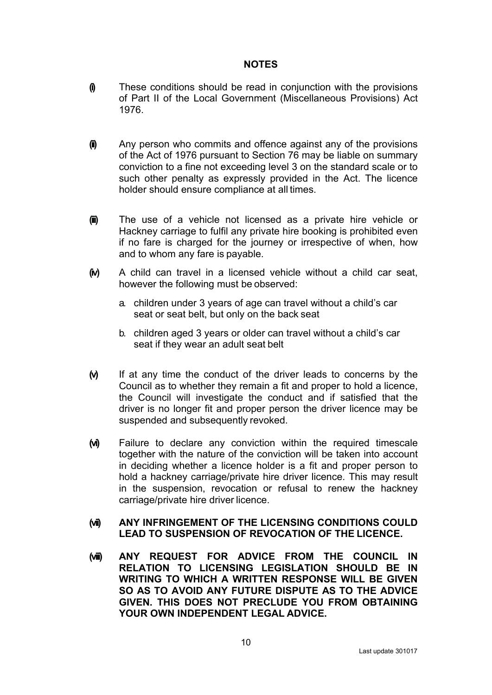#### **NOTES**

- **(i)** These conditions should be read in conjunction with the provisions of Part II of the Local Government (Miscellaneous Provisions) Act 1976.
- **(ii)** Any person who commits and offence against any of the provisions of the Act of 1976 pursuant to Section 76 may be liable on summary conviction to a fine not exceeding level 3 on the standard scale or to such other penalty as expressly provided in the Act. The licence holder should ensure compliance at all times.
- **(iii)** The use of a vehicle not licensed as a private hire vehicle or Hackney carriage to fulfil any private hire booking is prohibited even if no fare is charged for the journey or irrespective of when, how and to whom any fare is payable.
- **(iv)** A child can travel in a licensed vehicle without a child car seat, however the following must be observed:
	- a. children under 3 years of age can travel without a child's car seat or seat belt, but only on the back seat
	- b. children aged 3 years or older can travel without a child's car seat if they wear an adult seat belt
- **(v)** If at any time the conduct of the driver leads to concerns by the Council as to whether they remain a fit and proper to hold a licence, the Council will investigate the conduct and if satisfied that the driver is no longer fit and proper person the driver licence may be suspended and subsequently revoked.
- **(vi)** Failure to declare any conviction within the required timescale together with the nature of the conviction will be taken into account in deciding whether a licence holder is a fit and proper person to hold a hackney carriage/private hire driver licence. This may result in the suspension, revocation or refusal to renew the hackney carriage/private hire driver licence.

### **(vii) ANY INFRINGEMENT OF THE LICENSING CONDITIONS COULD LEAD TO SUSPENSION OF REVOCATION OF THE LICENCE.**

**(viii) ANY REQUEST FOR ADVICE FROM THE COUNCIL IN RELATION TO LICENSING LEGISLATION SHOULD BE IN WRITING TO WHICH A WRITTEN RESPONSE WILL BE GIVEN SO AS TO AVOID ANY FUTURE DISPUTE AS TO THE ADVICE GIVEN. THIS DOES NOT PRECLUDE YOU FROM OBTAINING YOUR OWN INDEPENDENT LEGAL ADVICE.**